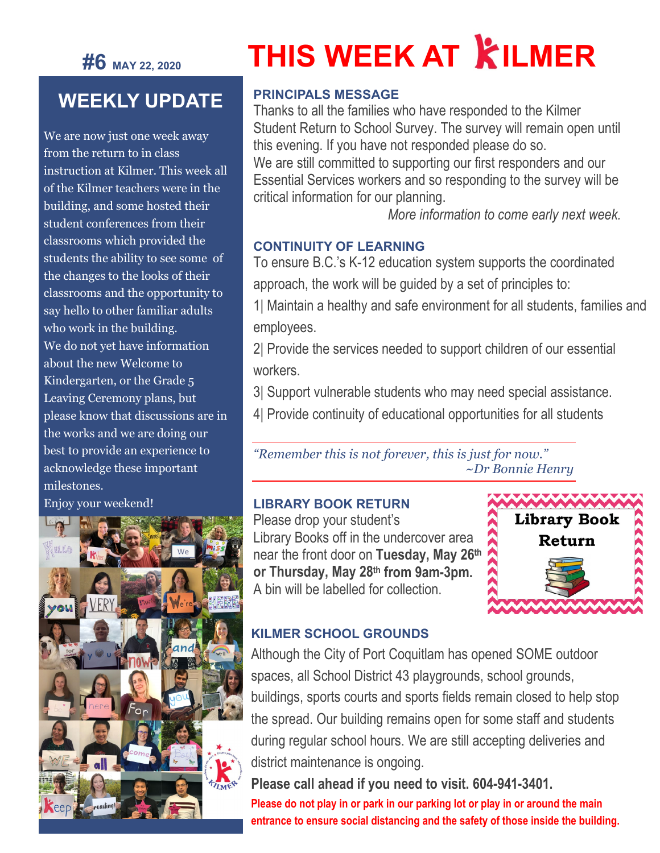## **#6 MAY 22, <sup>2020</sup>**

# **THIS WEEK AT KILMER**

## **WEEKLY UPDATE**

We are now just one week away from the return to in class instruction at Kilmer. This week all of the Kilmer teachers were in the building, and some hosted their student conferences from their classrooms which provided the students the ability to see some of the changes to the looks of their classrooms and the opportunity to say hello to other familiar adults who work in the building. We do not yet have information about the new Welcome to Kindergarten, or the Grade 5 Leaving Ceremony plans, but please know that discussions are in the works and we are doing our best to provide an experience to acknowledge these important milestones.

Enjoy your weekend!



#### **PRINCIPALS MESSAGE**

Thanks to all the families who have responded to the Kilmer Student Return to School Survey. The survey will remain open until this evening. If you have not responded please do so. We are still committed to supporting our first responders and our Essential Services workers and so responding to the survey will be critical information for our planning.

 *More information to come early next week.*

#### **CONTINUITY OF LEARNING**

To ensure B.C.'s K-12 education system supports the coordinated approach, the work will be guided by a set of principles to:

1| Maintain a healthy and safe environment for all students, families and employees.

2| Provide the services needed to support children of our essential workers.

3| Support vulnerable students who may need special assistance.

4| Provide continuity of educational opportunities for all students

*"Remember this is not forever, this is just for now." ~Dr Bonnie Henry*

#### **LIBRARY BOOK RETURN**

Please drop your student's Library Books off in the undercover area near the front door on **Tuesday, May 26th or Thursday, May 28th from 9am-3pm.**  A bin will be labelled for collection.



#### **KILMER SCHOOL GROUNDS**

Although the City of Port Coquitlam has opened SOME outdoor spaces, all School District 43 playgrounds, school grounds, buildings, sports courts and sports fields remain closed to help stop the spread. Our building remains open for some staff and students during regular school hours. We are still accepting deliveries and district maintenance is ongoing.

### **Please call ahead if you need to visit. 604-941-3401.**

**Please do not play in or park in our parking lot or play in or around the main entrance to ensure social distancing and the safety of those inside the building.**